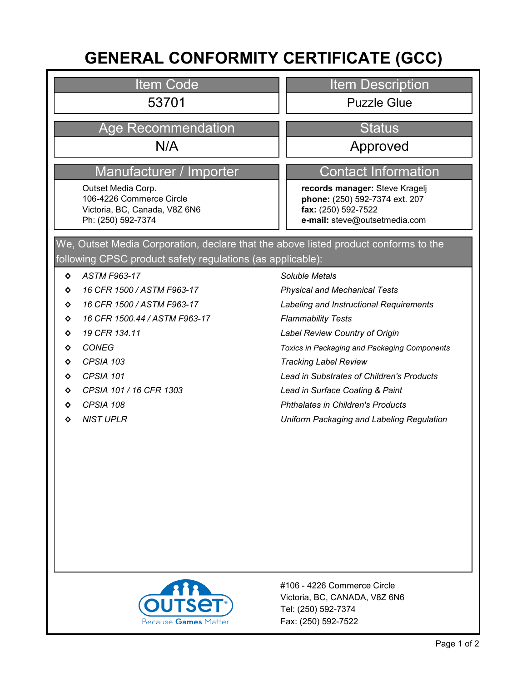# **GENERAL CONFORMITY CERTIFICATE (GCC)**

#### Item Code

## Age Recommendation New Status

## Manufacturer / Importer Contact Information

Outset Media Corp. 106-4226 Commerce Circle Victoria, BC, Canada, V8Z 6N6 Ph: (250) 592-7374

#### Item Description

53701 Puzzle Glue

N/A approved

**records manager:** Steve Kragelj **phone:** (250) 592-7374 ext. 207 **fax:** (250) 592-7522 **e-mail:** steve@outsetmedia.com

#### following CPSC product safety regulations (as applicable): We, Outset Media Corporation, declare that the above listed product conforms to the

- **◊** *ASTM F963-17*
- **◊** *16 CFR 1500 / ASTM F963-17*
- **◊** *16 CFR 1500 / ASTM F963-17*
- **◊** *16 CFR 1500.44 / ASTM F963-17*
- **◊** *19 CFR 134.11*
- **◊** *CONEG*
- **◊** *CPSIA 103*
- **◊** *CPSIA 101*
- **◊** *CPSIA 101 / 16 CFR 1303*
- **◊** *CPSIA 108*
- **◊** *NIST UPLR*

#### *Soluble Metals*

*Physical and Mechanical Tests*

*Labeling and Instructional Requirements*

- *Flammability Tests*
- *Label Review Country of Origin*

*Toxics in Packaging and Packaging Components*

- *Tracking Label Review*
- *Lead in Substrates of Children's Products*
- *Lead in Surface Coating & Paint*
- *Phthalates in Children's Products*
- *Uniform Packaging and Labeling Regulation*



Fax: (250) 592-7522 Tel: (250) 592-7374 Victoria, BC, CANADA, V8Z 6N6 #106 - 4226 Commerce Circle